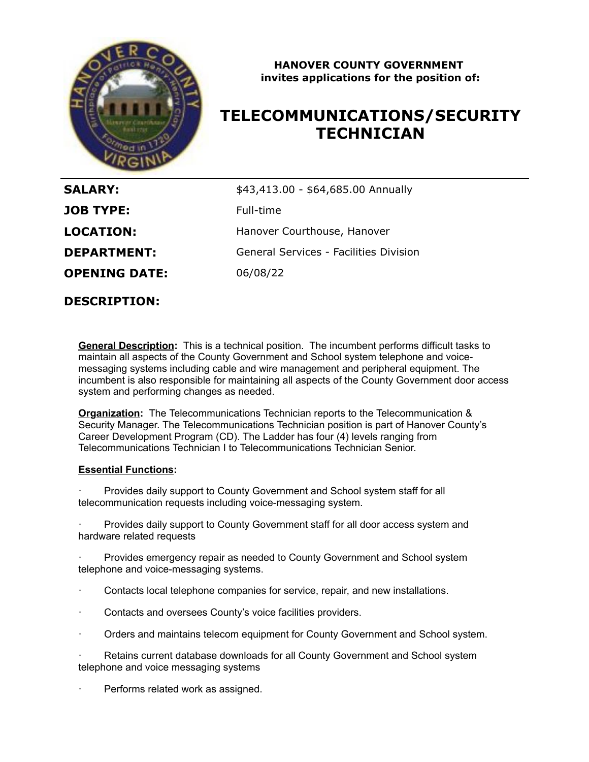

### **HANOVER COUNTY GOVERNMENT invites applications for the position of:**

# **TELECOMMUNICATIONS/SECURITY TECHNICIAN**

| <b>SALARY:</b>       | \$43,413.00 - \$64,685.00 Annually     |
|----------------------|----------------------------------------|
| <b>JOB TYPE:</b>     | Full-time                              |
| <b>LOCATION:</b>     | Hanover Courthouse, Hanover            |
| <b>DEPARTMENT:</b>   | General Services - Facilities Division |
| <b>OPENING DATE:</b> | 06/08/22                               |

**DESCRIPTION:**

**General Description:** This is a technical position. The incumbent performs difficult tasks to maintain all aspects of the County Government and School system telephone and voicemessaging systems including cable and wire management and peripheral equipment. The incumbent is also responsible for maintaining all aspects of the County Government door access system and performing changes as needed.

**Organization:** The Telecommunications Technician reports to the Telecommunication & Security Manager. The Telecommunications Technician position is part of Hanover County's Career Development Program (CD). The Ladder has four (4) levels ranging from Telecommunications Technician I to Telecommunications Technician Senior.

#### **Essential Functions:**

Provides daily support to County Government and School system staff for all telecommunication requests including voice-messaging system.

Provides daily support to County Government staff for all door access system and hardware related requests

Provides emergency repair as needed to County Government and School system telephone and voice-messaging systems.

- · Contacts local telephone companies for service, repair, and new installations.
- Contacts and oversees County's voice facilities providers.
- · Orders and maintains telecom equipment for County Government and School system.
- Retains current database downloads for all County Government and School system telephone and voice messaging systems
- Performs related work as assigned.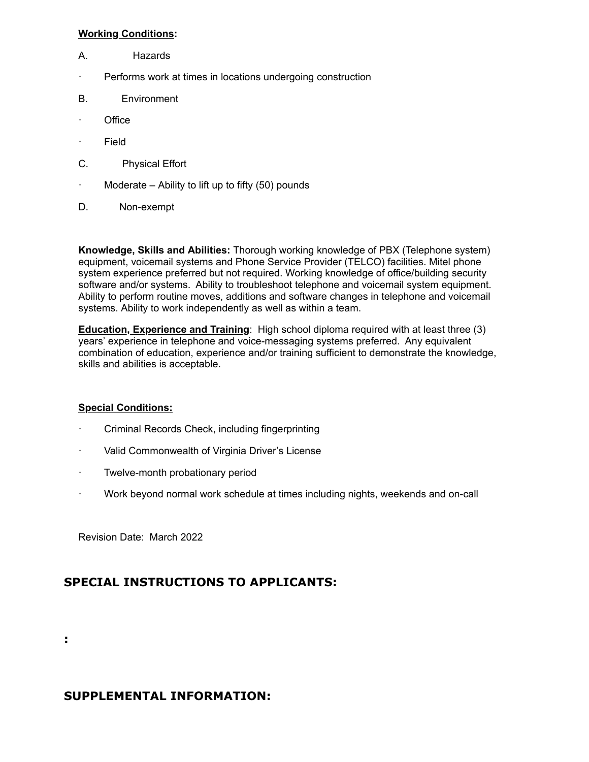#### **Working Conditions:**

- A. Hazards
- · Performs work at times in locations undergoing construction
- B. Environment
- · Office
- · Field
- C. Physical Effort
- $\cdot$  Moderate Ability to lift up to fifty (50) pounds
- D. Non-exempt

**Knowledge, Skills and Abilities:** Thorough working knowledge of PBX (Telephone system) equipment, voicemail systems and Phone Service Provider (TELCO) facilities. Mitel phone system experience preferred but not required. Working knowledge of office/building security software and/or systems. Ability to troubleshoot telephone and voicemail system equipment. Ability to perform routine moves, additions and software changes in telephone and voicemail systems. Ability to work independently as well as within a team.

**Education, Experience and Training**: High school diploma required with at least three (3) years' experience in telephone and voice-messaging systems preferred. Any equivalent combination of education, experience and/or training sufficient to demonstrate the knowledge, skills and abilities is acceptable.

#### **Special Conditions:**

- · Criminal Records Check, including fingerprinting
- · Valid Commonwealth of Virginia Driver's License
- · Twelve-month probationary period
- · Work beyond normal work schedule at times including nights, weekends and on-call

Revision Date: March 2022

## **SPECIAL INSTRUCTIONS TO APPLICANTS:**

**:**

## **SUPPLEMENTAL INFORMATION:**